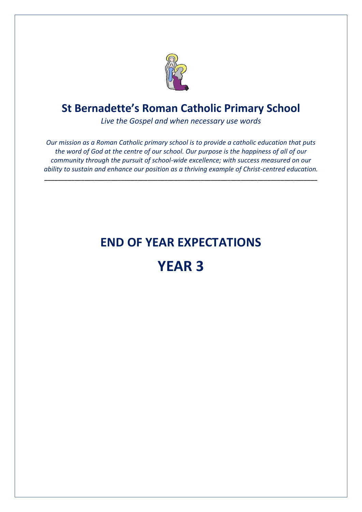

*Live the Gospel and when necessary use words*

*Our mission as a Roman Catholic primary school is to provide a catholic education that puts the word of God at the centre of our school. Our purpose is the happiness of all of our community through the pursuit of school-wide excellence; with success measured on our ability to sustain and enhance our position as a thriving example of Christ-centred education.*

**\_\_\_\_\_\_\_\_\_\_\_\_\_\_\_\_\_\_\_\_\_\_\_\_\_\_\_\_\_\_\_\_\_\_\_\_\_\_\_\_\_\_\_\_\_\_\_\_\_\_\_\_\_\_\_\_\_\_\_\_\_\_\_\_\_\_\_\_\_\_\_\_\_\_\_\_\_\_\_\_\_\_**

## **END OF YEAR EXPECTATIONS**

# **YEAR 3**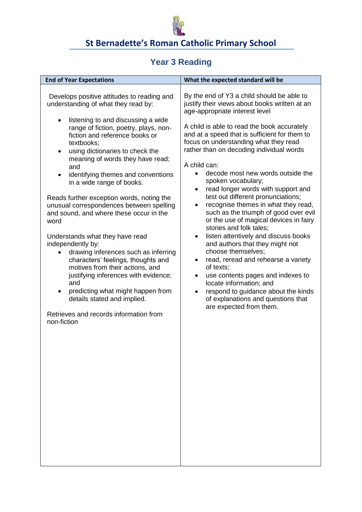

#### **Year 3 Reading**

| <b>End of Year Expectations</b>                                                                                                                                                                                                                                                                                                                                                                                                                                                                                                                                                                                                                                                                                                                                                                                                                                                                   | What the expected standard will be                                                                                                                                                                                                                                                                                                                                                                                                                                                                                                                                                                                                                                                                                                                                                                                                                                                                                                                                                                           |
|---------------------------------------------------------------------------------------------------------------------------------------------------------------------------------------------------------------------------------------------------------------------------------------------------------------------------------------------------------------------------------------------------------------------------------------------------------------------------------------------------------------------------------------------------------------------------------------------------------------------------------------------------------------------------------------------------------------------------------------------------------------------------------------------------------------------------------------------------------------------------------------------------|--------------------------------------------------------------------------------------------------------------------------------------------------------------------------------------------------------------------------------------------------------------------------------------------------------------------------------------------------------------------------------------------------------------------------------------------------------------------------------------------------------------------------------------------------------------------------------------------------------------------------------------------------------------------------------------------------------------------------------------------------------------------------------------------------------------------------------------------------------------------------------------------------------------------------------------------------------------------------------------------------------------|
| Develops positive attitudes to reading and<br>understanding of what they read by:<br>listening to and discussing a wide<br>$\bullet$<br>range of fiction, poetry, plays, non-<br>fiction and reference books or<br>textbooks:<br>using dictionaries to check the<br>٠<br>meaning of words they have read;<br>and<br>identifying themes and conventions<br>$\bullet$<br>in a wide range of books.<br>Reads further exception words, noting the<br>unusual correspondences between spelling<br>and sound, and where these occur in the<br>word<br>Understands what they have read<br>independently by:<br>drawing inferences such as inferring<br>characters' feelings, thoughts and<br>motives from their actions, and<br>justifying inferences with evidence;<br>and<br>predicting what might happen from<br>details stated and implied.<br>Retrieves and records information from<br>non-fiction | By the end of Y3 a child should be able to<br>justify their views about books written at an<br>age-appropriate interest level<br>A child is able to read the book accurately<br>and at a speed that is sufficient for them to<br>focus on understanding what they read<br>rather than on decoding individual words<br>A child can:<br>decode most new words outside the<br>$\bullet$<br>spoken vocabulary;<br>read longer words with support and<br>٠<br>test out different pronunciations;<br>recognise themes in what they read,<br>such as the triumph of good over evil<br>or the use of magical devices in fairy<br>stories and folk tales;<br>listen attentively and discuss books<br>$\bullet$<br>and authors that they might not<br>choose themselves;<br>read, reread and rehearse a variety<br>of texts;<br>use contents pages and indexes to<br>٠<br>locate information; and<br>respond to guidance about the kinds<br>$\bullet$<br>of explanations and questions that<br>are expected from them. |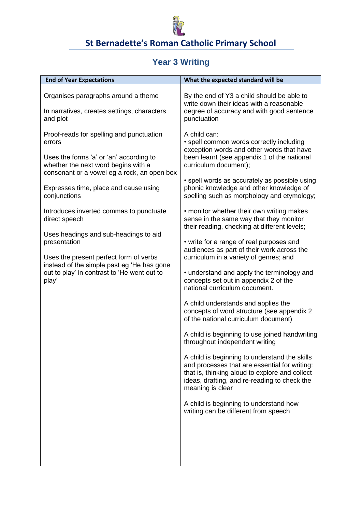

## **Year 3 Writing**

| <b>End of Year Expectations</b>                                                                                                                                                                                                                                                                                                                                                                                                                                                                                   | What the expected standard will be                                                                                                                                                                                                                                                                                                                                                                                                                                                                                                                                                                                                                                                                                                                                                                                                                                                                                                                                                                                                                                                                                                                                                                                                                     |
|-------------------------------------------------------------------------------------------------------------------------------------------------------------------------------------------------------------------------------------------------------------------------------------------------------------------------------------------------------------------------------------------------------------------------------------------------------------------------------------------------------------------|--------------------------------------------------------------------------------------------------------------------------------------------------------------------------------------------------------------------------------------------------------------------------------------------------------------------------------------------------------------------------------------------------------------------------------------------------------------------------------------------------------------------------------------------------------------------------------------------------------------------------------------------------------------------------------------------------------------------------------------------------------------------------------------------------------------------------------------------------------------------------------------------------------------------------------------------------------------------------------------------------------------------------------------------------------------------------------------------------------------------------------------------------------------------------------------------------------------------------------------------------------|
| Organises paragraphs around a theme<br>In narratives, creates settings, characters<br>and plot                                                                                                                                                                                                                                                                                                                                                                                                                    | By the end of Y3 a child should be able to<br>write down their ideas with a reasonable<br>degree of accuracy and with good sentence<br>punctuation                                                                                                                                                                                                                                                                                                                                                                                                                                                                                                                                                                                                                                                                                                                                                                                                                                                                                                                                                                                                                                                                                                     |
| Proof-reads for spelling and punctuation<br>errors<br>Uses the forms 'a' or 'an' according to<br>whether the next word begins with a<br>consonant or a vowel eg a rock, an open box<br>Expresses time, place and cause using<br>conjunctions<br>Introduces inverted commas to punctuate<br>direct speech<br>Uses headings and sub-headings to aid<br>presentation<br>Uses the present perfect form of verbs<br>instead of the simple past eg 'He has gone<br>out to play' in contrast to 'He went out to<br>play' | A child can:<br>• spell common words correctly including<br>exception words and other words that have<br>been learnt (see appendix 1 of the national<br>curriculum document);<br>• spell words as accurately as possible using<br>phonic knowledge and other knowledge of<br>spelling such as morphology and etymology;<br>• monitor whether their own writing makes<br>sense in the same way that they monitor<br>their reading, checking at different levels;<br>• write for a range of real purposes and<br>audiences as part of their work across the<br>curriculum in a variety of genres; and<br>• understand and apply the terminology and<br>concepts set out in appendix 2 of the<br>national curriculum document.<br>A child understands and applies the<br>concepts of word structure (see appendix 2<br>of the national curriculum document)<br>A child is beginning to use joined handwriting<br>throughout independent writing<br>A child is beginning to understand the skills<br>and processes that are essential for writing:<br>that is, thinking aloud to explore and collect<br>ideas, drafting, and re-reading to check the<br>meaning is clear<br>A child is beginning to understand how<br>writing can be different from speech |
|                                                                                                                                                                                                                                                                                                                                                                                                                                                                                                                   |                                                                                                                                                                                                                                                                                                                                                                                                                                                                                                                                                                                                                                                                                                                                                                                                                                                                                                                                                                                                                                                                                                                                                                                                                                                        |